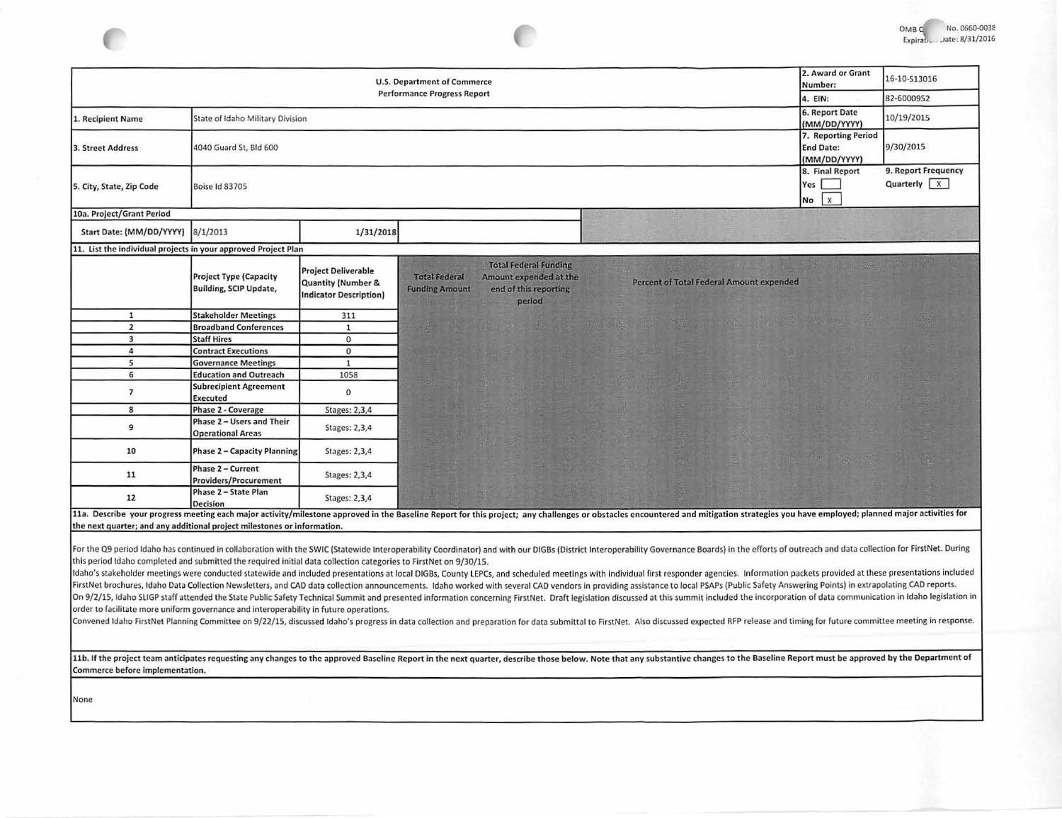

| <b>U.S. Department of Commerce</b>                                      |                                                                                                                   |                                                                                   |                                                                                                                                            |                                                                                                                                                                                                                                                                                                                                                                                                                                                                 |                                                         | 16-10-S13016                                 |
|-------------------------------------------------------------------------|-------------------------------------------------------------------------------------------------------------------|-----------------------------------------------------------------------------------|--------------------------------------------------------------------------------------------------------------------------------------------|-----------------------------------------------------------------------------------------------------------------------------------------------------------------------------------------------------------------------------------------------------------------------------------------------------------------------------------------------------------------------------------------------------------------------------------------------------------------|---------------------------------------------------------|----------------------------------------------|
|                                                                         |                                                                                                                   |                                                                                   | <b>Performance Progress Report</b>                                                                                                         |                                                                                                                                                                                                                                                                                                                                                                                                                                                                 | 4. EIN:                                                 | 82-6000952                                   |
| 1. Recipient Name                                                       | State of Idaho Military Division                                                                                  |                                                                                   |                                                                                                                                            |                                                                                                                                                                                                                                                                                                                                                                                                                                                                 | 6. Report Date<br>(MM/DD/YYYY)                          | 10/19/2015                                   |
| 3. Street Address                                                       | 4040 Guard St, Bld 600                                                                                            |                                                                                   |                                                                                                                                            |                                                                                                                                                                                                                                                                                                                                                                                                                                                                 | 7. Reporting Period<br><b>End Date:</b><br>(MM/DD/YYYY) | 9/30/2015                                    |
| 5. City, State, Zip Code                                                | Boise Id 83705                                                                                                    |                                                                                   |                                                                                                                                            |                                                                                                                                                                                                                                                                                                                                                                                                                                                                 | 8. Final Report<br>Yes<br>$\mathbf{x}$<br>No            | 9. Report Frequency<br>Quarterly $\boxed{X}$ |
| 10a. Project/Grant Period                                               |                                                                                                                   |                                                                                   |                                                                                                                                            |                                                                                                                                                                                                                                                                                                                                                                                                                                                                 |                                                         |                                              |
| Start Date: (MM/DD/YYYY) 8/1/2013                                       |                                                                                                                   | 1/31/2018                                                                         |                                                                                                                                            |                                                                                                                                                                                                                                                                                                                                                                                                                                                                 |                                                         |                                              |
| 11. List the individual projects in your approved Project Plan          |                                                                                                                   |                                                                                   |                                                                                                                                            |                                                                                                                                                                                                                                                                                                                                                                                                                                                                 |                                                         |                                              |
|                                                                         | <b>Project Type (Capacity</b><br><b>Building, SCIP Update,</b>                                                    | <b>Project Deliverable</b><br>Quantity (Number &<br><b>Indicator Description)</b> | <b>Total Federal Funding</b><br><b>Total Federal</b><br>Amount expended at the<br>end of this reporting<br><b>Funding Amount</b><br>period | Percent of Total Federal Amount expended                                                                                                                                                                                                                                                                                                                                                                                                                        |                                                         |                                              |
| $\mathbf{1}$                                                            | <b>Stakeholder Meetings</b>                                                                                       | 311                                                                               |                                                                                                                                            |                                                                                                                                                                                                                                                                                                                                                                                                                                                                 |                                                         |                                              |
| $\overline{2}$                                                          | <b>Broadband Conferences</b>                                                                                      | $\mathbf{1}$                                                                      |                                                                                                                                            |                                                                                                                                                                                                                                                                                                                                                                                                                                                                 |                                                         |                                              |
| $\overline{\mathbf{3}}$                                                 | <b>Staff Hires</b>                                                                                                | $\mathbf{O}$                                                                      |                                                                                                                                            |                                                                                                                                                                                                                                                                                                                                                                                                                                                                 |                                                         |                                              |
| 4                                                                       | <b>Contract Executions</b>                                                                                        | $\mathbf{0}$                                                                      |                                                                                                                                            |                                                                                                                                                                                                                                                                                                                                                                                                                                                                 |                                                         |                                              |
| 5                                                                       | <b>Governance Meetings</b>                                                                                        | $1\,$                                                                             |                                                                                                                                            |                                                                                                                                                                                                                                                                                                                                                                                                                                                                 |                                                         |                                              |
| 6<br>$\overline{7}$                                                     | <b>Education and Outreach</b><br><b>Subrecipient Agreement</b><br>Executed                                        | 1058<br>$\mathbf{0}$                                                              |                                                                                                                                            |                                                                                                                                                                                                                                                                                                                                                                                                                                                                 |                                                         |                                              |
| 8                                                                       | Phase 2 - Coverage                                                                                                | Stages: 2,3,4                                                                     |                                                                                                                                            |                                                                                                                                                                                                                                                                                                                                                                                                                                                                 |                                                         |                                              |
| 9                                                                       | Phase 2 - Users and Their<br><b>Operational Areas</b>                                                             | Stages: 2,3,4                                                                     |                                                                                                                                            |                                                                                                                                                                                                                                                                                                                                                                                                                                                                 |                                                         |                                              |
| 10                                                                      | Phase 2 - Capacity Planning                                                                                       | Stages: 2,3,4                                                                     |                                                                                                                                            |                                                                                                                                                                                                                                                                                                                                                                                                                                                                 |                                                         |                                              |
| 11                                                                      | Phase 2 - Current<br><b>Providers/Procurement</b>                                                                 | Stages: 2,3,4                                                                     |                                                                                                                                            |                                                                                                                                                                                                                                                                                                                                                                                                                                                                 |                                                         |                                              |
| 12                                                                      | Phase 2 - State Plan<br><b>Decision</b>                                                                           | Stages: 2,3,4                                                                     |                                                                                                                                            |                                                                                                                                                                                                                                                                                                                                                                                                                                                                 |                                                         |                                              |
| the next quarter; and any additional project milestones or information. | this period Idaho completed and submitted the required initial data collection categories to FirstNet on 9/30/15. |                                                                                   |                                                                                                                                            | 11a. Describe your progress meeting each major activity/milestone approved in the Baseline Report for this project; any challenges or obstacles encountered and mitigation strategies you have employed; planned major activit<br>For the Q9 period Idaho has continued in collaboration with the SWIC (Statewide Interoperability Coordinator) and with our DIGBs (District Interoperability Governance Boards) in the efforts of outreach and data collection |                                                         |                                              |

Idaho's stakeholder meetings were conducted statewide and included presentations at local DIGBs, County LEPCs, and scheduled meetings with individual first responder agencies. Information packets provided at these presenta FirstNet brochures, Idaho Data Collection Newsletters, and CAD data collection announcements. Idaho worked with several CAD vendors in providing assistance to local PSAPs (Public Safety Answering Points) in extrapolating C On 9/2/15, Idaho SLIGP staff attended the State Public Safety Technical Summit and presented information concerning FirstNet. Draft legislation discussed at this summit included the incorporation of data communication in I

order to facilitate more uniform governance and interoperability in future operations.

Convened Idaho FirstNet Planning Committee on 9/22/15, discussed Idaho's progress in data collection and preparation for data submittal to FirstNet. Also discussed expected RFP release and timing for future committee meeti

11b. If the project team anticipates requesting any changes to the approved Baseline Report in the next quarter, describe those below. Note that any substantive changes to the Baseline Report must be approved by the Depart Commerce before implementation.

None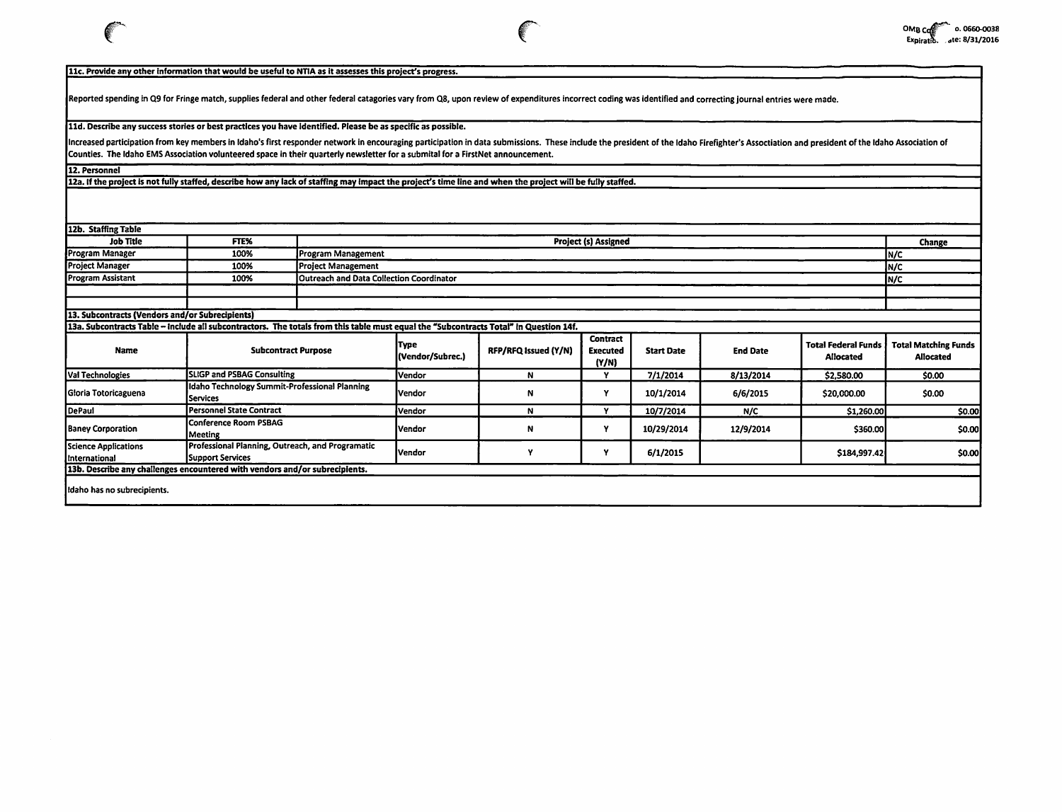## 11c. Provide any other information that would be useful to NTIA as it assesses this project's progress.

Reported spending in Q9 for Fringe match, supplies federal and other federal catagories vary from Q8, upon review of expenditures incorrect coding was identified and correcting journal entries were made.

## lld. Describe any success stories or best practices you have Identified. Please be as specific as possible.

Increased participation from key members in Idaho's first responder network in encouraging participation in data submissions. These include the president of the Idaho Firefighter's Assoctiation and president of the Idaho A Counties. The Idaho EMS Association volunteered space in their quarterly newsletter for a submital for a FirstNet announcement.

12. Personnel

12a. If the project Is not fully staffed, describe how any lack of staffing may Impact the project's time line and when the project will be fully staffed.

| 12b. Staffing Table                             |                                                                                                                                       |                           |                                                        |                      |                                             |                   |                 |                                                |                                                 |
|-------------------------------------------------|---------------------------------------------------------------------------------------------------------------------------------------|---------------------------|--------------------------------------------------------|----------------------|---------------------------------------------|-------------------|-----------------|------------------------------------------------|-------------------------------------------------|
| <b>Job Title</b>                                | FTE%                                                                                                                                  |                           | <b>Project (s) Assigned</b>                            |                      |                                             |                   |                 |                                                |                                                 |
| Program Manager                                 | 100%                                                                                                                                  | <b>Program Management</b> |                                                        |                      |                                             |                   |                 |                                                |                                                 |
| <b>Project Manager</b>                          | 100%                                                                                                                                  | <b>Project Management</b> | In/c                                                   |                      |                                             |                   |                 |                                                |                                                 |
| <b>Program Assistant</b>                        | 100%                                                                                                                                  |                           | <b>Outreach and Data Collection Coordinator</b><br>N/C |                      |                                             |                   |                 |                                                |                                                 |
|                                                 |                                                                                                                                       |                           |                                                        |                      |                                             |                   |                 |                                                |                                                 |
|                                                 |                                                                                                                                       |                           |                                                        |                      |                                             |                   |                 |                                                |                                                 |
| 13. Subcontracts (Vendors and/or Subrecipients) |                                                                                                                                       |                           |                                                        |                      |                                             |                   |                 |                                                |                                                 |
|                                                 | 13a. Subcontracts Table - include all subcontractors. The totals from this table must equal the "Subcontracts Total" in Question 14f. |                           |                                                        |                      |                                             |                   |                 |                                                |                                                 |
| Name                                            | <b>Subcontract Purpose</b>                                                                                                            |                           | <b>Type</b><br>(Vendor/Subrec.)                        | RFP/RFQ Issued (Y/N) | <b>Contract</b><br><b>Executed</b><br>(Y/N) | <b>Start Date</b> | <b>End Date</b> | <b>Total Federal Funds</b><br><b>Allocated</b> | <b>Total Matching Funds</b><br><b>Allocated</b> |
| Val Technologies                                | SLIGP and PSBAG Consulting                                                                                                            |                           | lVendor                                                | N                    | Y                                           | 7/1/2014          | 8/13/2014       | \$2,580.00                                     | \$0.00                                          |
| Gloria Totoricaguena                            | Idaho Technology Summit-Professional Planning<br><b>Services</b>                                                                      |                           | <b>I</b> Vendor                                        | N                    | Υ                                           | 10/1/2014         | 6/6/2015        | \$20,000.00                                    | \$0.00                                          |
| DePaul                                          | Personnel State Contract                                                                                                              |                           | Vendor                                                 | N                    | v                                           | 10/7/2014         | N/C             | \$1,260.00                                     | \$0.00                                          |
| <b>Baney Corporation</b>                        | Conference Room PSBAG<br>Meeting                                                                                                      |                           | Vendor                                                 | N                    | ٧                                           | 10/29/2014        | 12/9/2014       | \$360.00                                       | \$0.00                                          |
| Science Applications<br>International           | Professional Planning, Outreach, and Programatic<br>Support Services                                                                  |                           | <b>Vendor</b>                                          |                      | Y                                           | 6/1/2015          |                 | \$184,997.42                                   | \$0.00                                          |
|                                                 | 13b. Describe any challenges encountered with vendors and/or subrecipients.                                                           |                           |                                                        |                      |                                             |                   |                 |                                                |                                                 |
| Idaho has no subrecipients.                     |                                                                                                                                       |                           |                                                        |                      |                                             |                   |                 |                                                |                                                 |